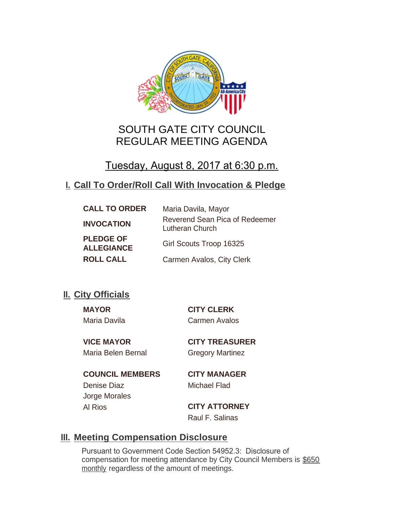

# SOUTH GATE CITY COUNCIL REGULAR MEETING AGENDA

# Tuesday, August 8, 2017 at 6:30 p.m.

## **Call To Order/Roll Call With Invocation & Pledge I.**

| <b>CALL TO ORDER</b>                  | Maria Davila, Mayor                               |
|---------------------------------------|---------------------------------------------------|
| <b>INVOCATION</b>                     | Reverend Sean Pica of Redeemer<br>Lutheran Church |
| <b>PLEDGE OF</b><br><b>ALLEGIANCE</b> | Girl Scouts Troop 16325                           |
| <b>ROLL CALL</b>                      | Carmen Avalos, City Clerk                         |

## **II.** City Officials

**MAYOR CITY CLERK** Maria Davila Carmen Avalos

Maria Belen Bernal Gregory Martinez

**VICE MAYOR CITY TREASURER**

**COUNCIL MEMBERS CITY MANAGER** Denise Diaz Michael Flad Jorge Morales Al Rios **CITY ATTORNEY**

Raul F. Salinas

## **Meeting Compensation Disclosure III.**

Pursuant to Government Code Section 54952.3: Disclosure of compensation for meeting attendance by City Council Members is \$650 monthly regardless of the amount of meetings.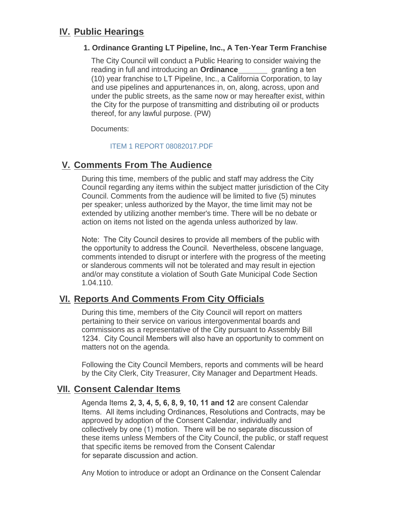## **IV. Public Hearings**

## **1. Ordinance Granting LT Pipeline, Inc., A Ten-Year Term Franchise**

The City Council will conduct a Public Hearing to consider waiving the reading in full and introducing an **Ordinance** *granting a ten* (10) year franchise to LT Pipeline, Inc., a California Corporation, to lay and use pipelines and appurtenances in, on, along, across, upon and under the public streets, as the same now or may hereafter exist, within the City for the purpose of transmitting and distributing oil or products thereof, for any lawful purpose. (PW)

Documents:

## [ITEM 1 REPORT 08082017.PDF](http://ca-southgate.civicplus.com/AgendaCenter/ViewFile/Item/4644?fileID=10352)

## **Comments From The Audience V.**

During this time, members of the public and staff may address the City Council regarding any items within the subject matter jurisdiction of the City Council. Comments from the audience will be limited to five (5) minutes per speaker; unless authorized by the Mayor, the time limit may not be extended by utilizing another member's time. There will be no debate or action on items not listed on the agenda unless authorized by law.

Note: The City Council desires to provide all members of the public with the opportunity to address the Council. Nevertheless, obscene language, comments intended to disrupt or interfere with the progress of the meeting or slanderous comments will not be tolerated and may result in ejection and/or may constitute a violation of South Gate Municipal Code Section 1.04.110.

## **Reports And Comments From City Officials VI.**

During this time, members of the City Council will report on matters pertaining to their service on various intergovenmental boards and commissions as a representative of the City pursuant to Assembly Bill 1234. City Council Members will also have an opportunity to comment on matters not on the agenda.

Following the City Council Members, reports and comments will be heard by the City Clerk, City Treasurer, City Manager and Department Heads.

## **Consent Calendar Items VII.**

Agenda Items **2, 3, 4, 5, 6, 8, 9, 10, 11 and 12** are consent Calendar Items. All items including Ordinances, Resolutions and Contracts, may be approved by adoption of the Consent Calendar, individually and collectively by one (1) motion. There will be no separate discussion of these items unless Members of the City Council, the public, or staff request that specific items be removed from the Consent Calendar for separate discussion and action.

Any Motion to introduce or adopt an Ordinance on the Consent Calendar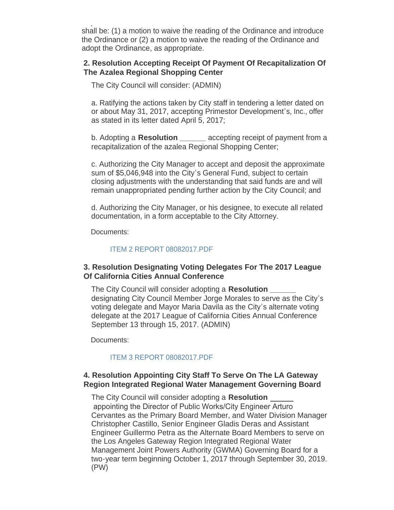$A_{\rm eff}$  Motion to introduce or adopt an  $\mathcal{A}_{\rm eff}$  and  $\mathcal{A}_{\rm eff}$  and  $\mathcal{A}_{\rm eff}$ shall be: (1) a motion to waive the reading of the Ordinance and introduce the Ordinance or (2) a motion to waive the reading of the Ordinance and adopt the Ordinance, as appropriate.

## **2. Resolution Accepting Receipt Of Payment Of Recapitalization Of The Azalea Regional Shopping Center**

The City Council will consider: (ADMIN)

a. Ratifying the actions taken by City staff in tendering a letter dated on or about May 31, 2017, accepting Primestor Development's, Inc., offer as stated in its letter dated April 5, 2017;

b. Adopting a **Resolution \_\_\_\_\_\_** accepting receipt of payment from a recapitalization of the azalea Regional Shopping Center;

c. Authorizing the City Manager to accept and deposit the approximate sum of \$5,046,948 into the City's General Fund, subject to certain closing adjustments with the understanding that said funds are and will remain unappropriated pending further action by the City Council; and

d. Authorizing the City Manager, or his designee, to execute all related documentation, in a form acceptable to the City Attorney.

Documents:

### [ITEM 2 REPORT 08082017.PDF](http://ca-southgate.civicplus.com/AgendaCenter/ViewFile/Item/4645?fileID=10353)

## **3. Resolution Designating Voting Delegates For The 2017 League Of California Cities Annual Conference**

The City Council will consider adopting a **Resolution \_\_\_\_\_\_**  designating City Council Member Jorge Morales to serve as the City's voting delegate and Mayor Maria Davila as the City's alternate voting delegate at the 2017 League of California Cities Annual Conference September 13 through 15, 2017. (ADMIN)

Documents:

### [ITEM 3 REPORT 08082017.PDF](http://ca-southgate.civicplus.com/AgendaCenter/ViewFile/Item/4646?fileID=10354)

## **4. Resolution Appointing City Staff To Serve On The LA Gateway Region Integrated Regional Water Management Governing Board**

The City Council will consider adopting a **Resolution**  appointing the Director of Public Works/City Engineer Arturo Cervantes as the Primary Board Member, and Water Division Manager Christopher Castillo, Senior Engineer Gladis Deras and Assistant Engineer Guillermo Petra as the Alternate Board Members to serve on the Los Angeles Gateway Region Integrated Regional Water Management Joint Powers Authority (GWMA) Governing Board for a two-year term beginning October 1, 2017 through September 30, 2019. (PW)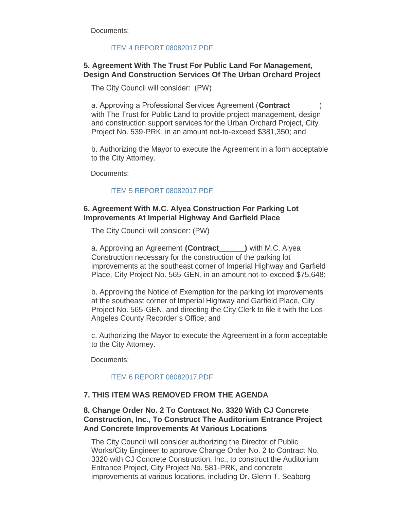Documents:

## [ITEM 4 REPORT 08082017.PDF](http://ca-southgate.civicplus.com/AgendaCenter/ViewFile/Item/4647?fileID=10355)

## **5. Agreement With The Trust For Public Land For Management, Design And Construction Services Of The Urban Orchard Project**

The City Council will consider: (PW)

a. Approving a Professional Services Agreement (**Contract** ) with The Trust for Public Land to provide project management, design and construction support services for the Urban Orchard Project, City Project No. 539-PRK, in an amount not-to-exceed \$381,350; and

b. Authorizing the Mayor to execute the Agreement in a form acceptable to the City Attorney.

Documents:

## [ITEM 5 REPORT 08082017.PDF](http://ca-southgate.civicplus.com/AgendaCenter/ViewFile/Item/4643?fileID=10337)

## **6. Agreement With M.C. Alyea Construction For Parking Lot Improvements At Imperial Highway And Garfield Place**

The City Council will consider: (PW)

a. Approving an Agreement **(Contract\_\_\_\_\_\_)** with M.C. Alyea Construction necessary for the construction of the parking lot improvements at the southeast corner of Imperial Highway and Garfield Place, City Project No. 565-GEN, in an amount not-to-exceed \$75,648;

b. Approving the Notice of Exemption for the parking lot improvements at the southeast corner of Imperial Highway and Garfield Place, City Project No. 565-GEN, and directing the City Clerk to file it with the Los Angeles County Recorder's Office; and

c. Authorizing the Mayor to execute the Agreement in a form acceptable to the City Attorney.

Documents:

### [ITEM 6 REPORT 08082017.PDF](http://ca-southgate.civicplus.com/AgendaCenter/ViewFile/Item/4648?fileID=10356)

### **7. THIS ITEM WAS REMOVED FROM THE AGENDA**

## **8. Change Order No. 2 To Contract No. 3320 With CJ Concrete Construction, Inc., To Construct The Auditorium Entrance Project And Concrete Improvements At Various Locations**

The City Council will consider authorizing the Director of Public Works/City Engineer to approve Change Order No. 2 to Contract No. 3320 with CJ Concrete Construction, Inc., to construct the Auditorium Entrance Project, City Project No. 581-PRK, and concrete improvements at various locations, including Dr. Glenn T. Seaborg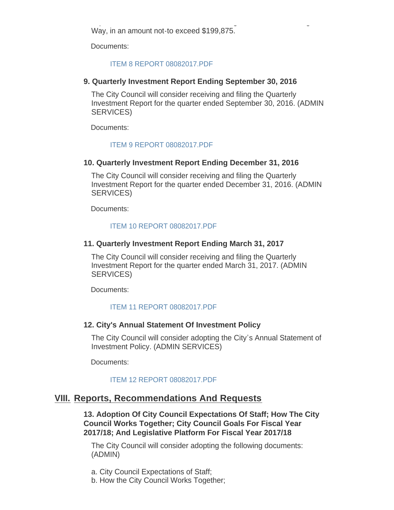improvements at various locations, including Dr. Glenn T. Seaborg Way, in an amount not-to exceed \$199,875.

Documents:

### [ITEM 8 REPORT 08082017.PDF](http://ca-southgate.civicplus.com/AgendaCenter/ViewFile/Item/4649?fileID=10357)

### **9. Quarterly Investment Report Ending September 30, 2016**

The City Council will consider receiving and filing the Quarterly Investment Report for the quarter ended September 30, 2016. (ADMIN SERVICES)

Documents:

### [ITEM 9 REPORT 08082017.PDF](http://ca-southgate.civicplus.com/AgendaCenter/ViewFile/Item/4650?fileID=10358)

### **10. Quarterly Investment Report Ending December 31, 2016**

The City Council will consider receiving and filing the Quarterly Investment Report for the quarter ended December 31, 2016. (ADMIN SERVICES)

Documents:

#### [ITEM 10 REPORT 08082017.PDF](http://ca-southgate.civicplus.com/AgendaCenter/ViewFile/Item/4651?fileID=10359)

### **11. Quarterly Investment Report Ending March 31, 2017**

The City Council will consider receiving and filing the Quarterly Investment Report for the quarter ended March 31, 2017. (ADMIN SERVICES)

Documents:

### [ITEM 11 REPORT 08082017.PDF](http://ca-southgate.civicplus.com/AgendaCenter/ViewFile/Item/4652?fileID=10360)

### **12. City's Annual Statement Of Investment Policy**

The City Council will consider adopting the City's Annual Statement of Investment Policy. (ADMIN SERVICES)

Documents:

### [ITEM 12 REPORT 08082017.PDF](http://ca-southgate.civicplus.com/AgendaCenter/ViewFile/Item/4653?fileID=10361)

## **Reports, Recommendations And Requests VIII.**

**13. Adoption Of City Council Expectations Of Staff; How The City Council Works Together; City Council Goals For Fiscal Year 2017/18; And Legislative Platform For Fiscal Year 2017/18**

The City Council will consider adopting the following documents: (ADMIN)

a. City Council Expectations of Staff;

b. How the City Council Works Together;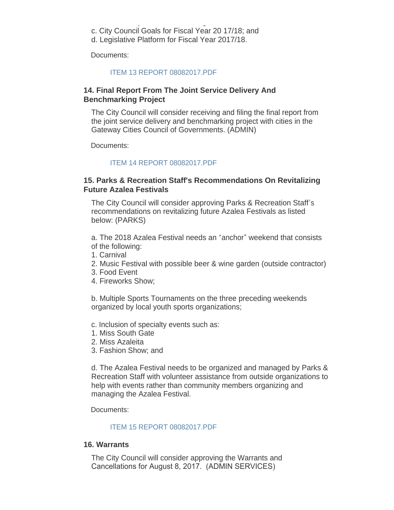- b. How the City Council Works Together; c. City Council Goals for Fiscal Year 20 17/18; and
- d. Legislative Platform for Fiscal Year 2017/18.

Documents:

#### [ITEM 13 REPORT 08082017.PDF](http://ca-southgate.civicplus.com/AgendaCenter/ViewFile/Item/4654?fileID=10362)

## **14. Final Report From The Joint Service Delivery And Benchmarking Project**

The City Council will consider receiving and filing the final report from the joint service delivery and benchmarking project with cities in the Gateway Cities Council of Governments. (ADMIN)

Documents:

### [ITEM 14 REPORT 08082017.PDF](http://ca-southgate.civicplus.com/AgendaCenter/ViewFile/Item/4655?fileID=10363)

## **15. Parks & Recreation Staff's Recommendations On Revitalizing Future Azalea Festivals**

The City Council will consider approving Parks & Recreation Staff's recommendations on revitalizing future Azalea Festivals as listed below: (PARKS)

a. The 2018 Azalea Festival needs an "anchor" weekend that consists of the following:

- 1. Carnival
- 2. Music Festival with possible beer & wine garden (outside contractor)
- 3. Food Event
- 4. Fireworks Show;

b. Multiple Sports Tournaments on the three preceding weekends organized by local youth sports organizations;

c. Inclusion of specialty events such as:

- 1. Miss South Gate
- 2. Miss Azaleita
- 3. Fashion Show; and

d. The Azalea Festival needs to be organized and managed by Parks & Recreation Staff with volunteer assistance from outside organizations to help with events rather than community members organizing and managing the Azalea Festival.

Documents:

### [ITEM 15 REPORT 08082017.PDF](http://ca-southgate.civicplus.com/AgendaCenter/ViewFile/Item/4656?fileID=10364)

#### **16. Warrants**

The City Council will consider approving the Warrants and Cancellations for August 8, 2017. (ADMIN SERVICES)